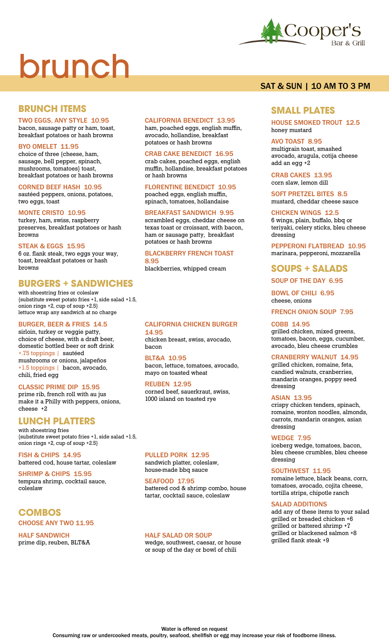# brunch



# **BRUNCH ITEMS**

## TWO EGGS, ANY STYLE 10.95

bacon, sausage patty or ham, toast, breakfast potatoes or hash browns

#### BYO OMELET 11.95

choice of three {cheese, ham, sausage, bell pepper, spinach, mushrooms, tomatoes} toast, breakfast potatoes or hash browns

#### CORNED BEEF HASH 10.95

sautéed peppers, onions, potatoes, two eggs, toast

#### MONTE CRISTO 10.95

turkey, ham, swiss, raspberry preserves, breakfast potatoes or hash browns

#### STEAK & EGGS 15.95

6 oz. flank steak, two eggs your way, toast, breakfast potatoes or hash browns

## **BURGERS + SANDWICHES**

with shoestring fries or coleslaw {substitute sweet potato fries +1, side salad +1.5, onion rings +2, cup of soup +2.5} lettuce wrap any sandwich at no charge

#### BURGER, BEER & FRIES 14.5

sirloin, turkey or veggie patty, choice of cheese, with a draft beer, domestic bottled beer or soft drink +.75 toppings | sautéed mushrooms or onions, jalapeños +1.5 toppings | bacon, avocado, chili, fried egg

#### CLASSIC PRIME DIP 15.95

prime rib, french roll with au jus make it a Philly with peppers, onions, cheese +2

# **LUNCH PLATTERS**

with shoestring fries {substitute sweet potato fries +1, side salad +1.5, onion rings +2, cup of soup +2.5}

**FISH & CHIPS 14.95** battered cod, house tartar, coleslaw

SHRIMP & CHIPS 15.95 tempura shrimp, cocktail sauce, coleslaw

# **COMBOS** CHOOSE ANY TWO 11.95

HALF SANDWICH prime dip, reuben, BLT&A

#### CALIFORNIA BENEDICT 13.95

ham, poached eggs, english muffin, avocado, hollandise, breakfast potatoes or hash browns

#### CRAB CAKE BENEDICT 16.95

crab cakes, poached eggs, english muffin, hollandise, breakfast potatoes or hash browns

FLORENTINE BENEDICT 10.95 poached eggs, english muffin, spinach, tomatoes, hollandaise

#### BREAKFAST SANDWICH 9.95

scrambled eggs, cheddar cheese on texas toast or croissant, with bacon, ham or sausage patty, breakfast potatoes or hash browns

#### BLACKBERRY FRENCH TOAST 8.95

blackberries, whipped cream

#### CALIFORNIA CHICKEN BURGER 14.95

chicken breast, swiss, avocado, bacon

BLT&A 10.95 bacon, lettuce, tomatoes, avocado, mayo on toasted wheat

REUBEN 12.95 corned beef, sauerkraut, swiss, 1000 island on toasted rye

PULLED PORK 12.95 sandwich platter, coleslaw,

house-made bbq sauce SEAFOOD 17.95

battered cod & shrimp combo, house tartar, cocktail sauce, coleslaw

#### HALF SALAD OR SOUP

wedge, southwest, caesar, or house or soup of the day or bowl of chili

# SAT & SUN | 10 AM TO 3 PM

## **SMALL PLATES**

HOUSE SMOKED TROUT 12.5 honey mustard

#### AVO TOAST 8.95

multigrain toast, smashed avocado, arugula, cotija cheese add an egg +2

CRAB CAKES 13.95 corn slaw, lemon dill

SOFT PRETZEL BITES 8.5 mustard, cheddar cheese sauce

## CHICKEN WINGS 12.5

6 wings, plain, buffalo, bbq or teriyaki, celery sticks, bleu cheese dressing

PEPPERONI FLATBREAD 10.95 marinara, pepperoni, mozzarella

## **SOUPS + SALADS**

#### SOUP OF THE DAY 6.95

BOWL OF CHILI 6.95 cheese, onions

FRENCH ONION SOUP 7.95

#### COBB 14.95

grilled chicken, mixed greens, tomatoes, bacon, eggs, cucumber, avocado, bleu cheese crumbles

#### CRANBERRY WALNUT 14.95

grilled chicken, romaine, feta, candied walnuts, cranberries, mandarin oranges, poppy seed dressing

#### ASIAN 13.95

crispy chicken tenders, spinach, romaine, wonton noodles, almonds, carrots, mandarin oranges, asian dressing

#### WEDGE 7.95

iceberg wedge, tomatoes, bacon, bleu cheese crumbles, bleu cheese dressing

#### SOUTHWEST 11.95

romaine lettuce, black beans, corn, tomatoes, avocado, cojita cheese, tortilla strips, chipotle ranch

#### SALAD ADDITIONS

add any of these items to your salad grilled or breaded chicken +6 grilled or battered shrimp +7 grilled or blackened salmon +8 grilled flank steak +9